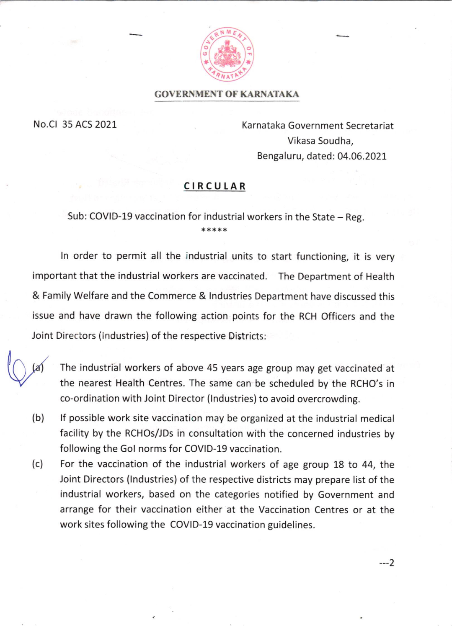

#### GOVERNMENT OF KARNATAKA

No.Cl 35 ACS 2021

Karnataka Government Secretariat Vikasa Soudha, Bengaluru, dated: 04.06.2021

## CIRCUIAR

# Sub: COVID-19 vaccination for industrial workers in the State – Reg.<br>\*\*\*\*\*

ln order to permit all the industrial units to start functioning, it is very important that the industrial workers are vaccinated. The Department of Health & Family Welfare and the Commerce & lndustries Department have discussed this issue and have drawn the following action points for the RCH Officers and the Joint Directors (lndustries) of the respective Districts:



The industrial workers of above 45 years age group may get vaccinated at the nearest Health Centres. The same can be scheduled by the RCHO's in co-ordination with Joint Director (lndustries) to avoid overcrowding.

- lf possible work site vaccination may be organized at the industrial medical facility by the RCHOs/JDs in consultation with the concerned industries by following the Gol norms for COVID-19 vaccination. (b)
- For the vaccination of the industrial workers of age group 18 to 44, the Joint Directors (lndustries) of the respective districts may prepare list of the industrial workers, based on the categories notified by Government and arrange for their vaccination either at the Vaccination Centres or at the work sites following the COVID-19 vaccination guidelines. (c)